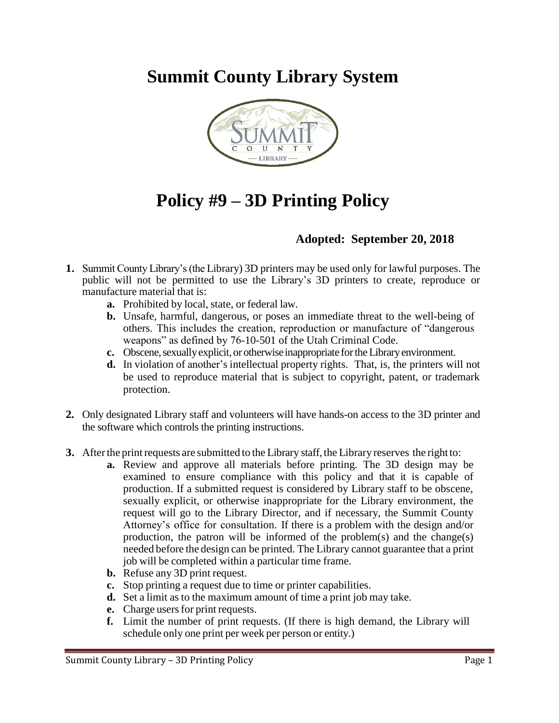**Summit County Library System** 



## **Policy #9 – 3D Printing Policy**

## **Adopted: September 20, 2018**

- **1.** Summit County Library's (the Library) 3D printers may be used only for lawful purposes. The public will not be permitted to use the Library's 3D printers to create, reproduce or manufacture material that is:
	- **a.** Prohibited by local, state, or federal law.
	- **b.** Unsafe, harmful, dangerous, or poses an immediate threat to the well-being of others. This includes the creation, reproduction or manufacture of "dangerous weapons" as defined by 76-10-501 of the Utah Criminal Code.
	- **c.** Obscene, sexually explicit, or otherwise inappropriate for the Library environment.
	- **d.** In violation of another's intellectual property rights. That, is, the printers will not be used to reproduce material that is subject to copyright, patent, or trademark protection.
- **2.** Only designated Library staff and volunteers will have hands-on access to the 3D printer and the software which controls the printing instructions.
- **3.** After the print requests are submitted to the Library staff, the Library reserves the right to:
	- **a.** Review and approve all materials before printing. The 3D design may be examined to ensure compliance with this policy and that it is capable of production. If a submitted request is considered by Library staff to be obscene, sexually explicit, or otherwise inappropriate for the Library environment, the request will go to the Library Director, and if necessary, the Summit County Attorney's office for consultation. If there is a problem with the design and/or production, the patron will be informed of the problem(s) and the change(s) needed before the design can be printed. The Library cannot guarantee that a print job will be completed within a particular time frame.
	- **b.** Refuse any 3D print request.
	- **c.** Stop printing a request due to time or printer capabilities.
	- **d.** Set a limit as to the maximum amount of time a print job may take.
	- **e.** Charge users for print requests.
	- **f.** Limit the number of print requests. (If there is high demand, the Library will schedule only one print per week per person or entity.)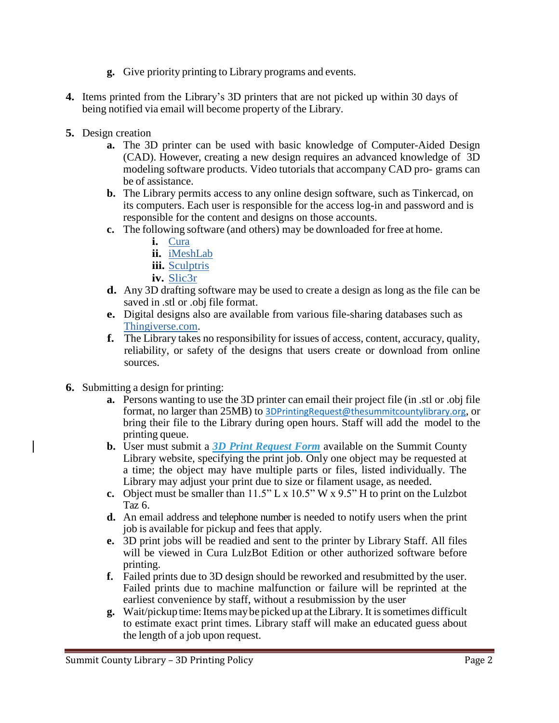- **g.** Give priority printing to Library programs and events.
- **4.** Items printed from the Library's 3D printers that are not picked up within 30 days of being notified via email will become property of the Library.
- **5.** Design creation
	- **a.** The 3D printer can be used with basic knowledge of Computer-Aided Design (CAD). However, creating a new design requires an advanced knowledge of 3D modeling software products. Video tutorials that accompany CAD pro- grams can be of assistance.
	- **b.** The Library permits access to any online design software, such as Tinkercad, on its computers. Each user is responsible for the access log-in and password and is responsible for the content and designs on those accounts.
	- **c.** The following software (and others) may be downloaded for free at home.
		- **i.** [Cura](https://www.lulzbot.com/cura)
		- **ii.** [iMeshLab](http://meshlab.sourceforge.net/)
		- **iii.** [Sculptris](http://pixologic.com/sculptris/)
		- **iv.** [Slic3r](http://slic3r.org/download)
	- **d.** Any 3D drafting software may be used to create a design as long as the file can be saved in .stl or .obj file format.
	- **e.** Digital designs also are available from various file-sharing databases such as [Thingiverse.com.](http://www.thingiverse.com/)
	- **f.** The Library takes no responsibility for issues of access, content, accuracy, quality, reliability, or safety of the designs that users create or download from online sources.
- **6.** Submitting a design for printing:
	- **a.** Persons wanting to use the 3D printer can email their project file (in .stl or .obj file format, no larger than 25MB) to [3DPrintingRequest@thesummitcountylibrary.org](mailto:3DPrintingRequest@thesummitcountylibrary.org), or bring their file to the Library during open hours. Staff will add the model to the printing queue.
	- **b.** User must submit a *[3D Print Request Form](https://2677summit.stacksdiscovery.com/contact-librarian/3d-printing-request-form)* available on the Summit County Library website, specifying the print job. Only one object may be requested at a time; the object may have multiple parts or files, listed individually. The Library may adjust your print due to size or filament usage, as needed.
	- **c.** Object must be smaller than 11.5" L x 10.5" W x 9.5" H to print on the Lulzbot Taz 6.
	- **d.** An email address and telephone number is needed to notify users when the print job is available for pickup and fees that apply.
	- **e.** 3D print jobs will be readied and sent to the printer by Library Staff. All files will be viewed in Cura LulzBot Edition or other authorized software before printing.
	- **f.** Failed prints due to 3D design should be reworked and resubmitted by the user. Failed prints due to machine malfunction or failure will be reprinted at the earliest convenience by staff, without a resubmission by the user
	- **g.** Wait/pickup time: Items may be picked up at the Library. It is sometimes difficult to estimate exact print times. Library staff will make an educated guess about the length of a job upon request.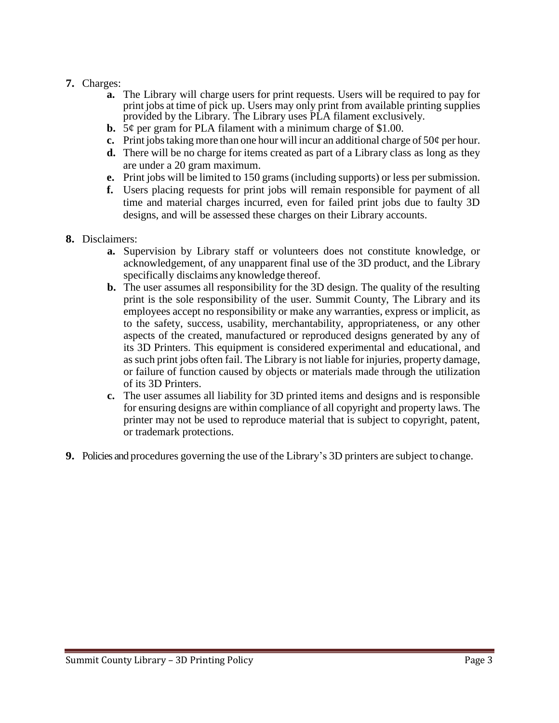## **7.** Charges:

- **a.** The Library will charge users for print requests. Users will be required to pay for print jobs at time of pick up. Users may only print from available printing supplies provided by the Library. The Library uses PLA filament exclusively.
- **b.** 5¢ per gram for PLA filament with a minimum charge of \$1.00.
- **c.** Print jobs taking more than one hour will incur an additional charge of  $50¢$  per hour.
- **d.** There will be no charge for items created as part of a Library class as long as they are under a 20 gram maximum.
- **e.** Print jobs will be limited to 150 grams (including supports) or less per submission.
- **f.** Users placing requests for print jobs will remain responsible for payment of all time and material charges incurred, even for failed print jobs due to faulty 3D designs, and will be assessed these charges on their Library accounts.
- **8.** Disclaimers:
	- **a.** Supervision by Library staff or volunteers does not constitute knowledge, or acknowledgement, of any unapparent final use of the 3D product, and the Library specifically disclaims any knowledge thereof.
	- **b.** The user assumes all responsibility for the 3D design. The quality of the resulting print is the sole responsibility of the user. Summit County, The Library and its employees accept no responsibility or make any warranties, express or implicit, as to the safety, success, usability, merchantability, appropriateness, or any other aspects of the created, manufactured or reproduced designs generated by any of its 3D Printers. This equipment is considered experimental and educational, and as such print jobs often fail. The Library is not liable for injuries, property damage, or failure of function caused by objects or materials made through the utilization of its 3D Printers.
	- **c.** The user assumes all liability for 3D printed items and designs and is responsible for ensuring designs are within compliance of all copyright and property laws. The printer may not be used to reproduce material that is subject to copyright, patent, or trademark protections.
- **9.** Policies and procedures governing the use of the Library's 3D printers are subject to change.